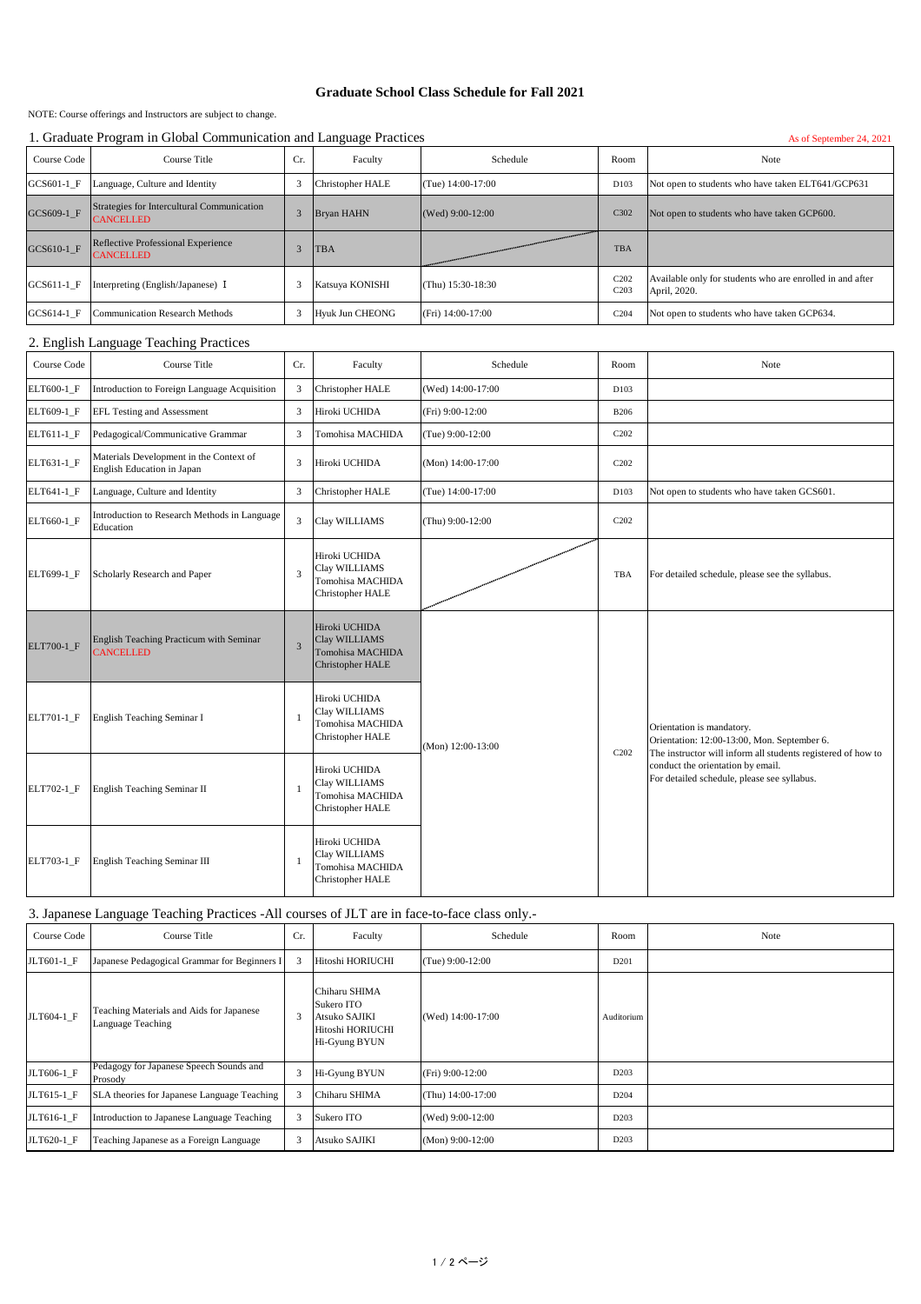## **Graduate School Class Schedule for Fall 2021**

NOTE: Course offerings and Instructors are subject to change.

## 1. Graduate Program in Global Communication and Language Practices As of September 24, 2021

| Course Code                            | Course Title                                                   | Cr.     | Faculty                 | Schedule          | Room                                 | Note                                                                      |
|----------------------------------------|----------------------------------------------------------------|---------|-------------------------|-------------------|--------------------------------------|---------------------------------------------------------------------------|
| GCS601-1 F                             | Language, Culture and Identity                                 | 3       | <b>Christopher HALE</b> | (Tue) 14:00-17:00 | D103                                 | Not open to students who have taken ELT641/GCP631                         |
| GCS609-1 F                             | Strategies for Intercultural Communication<br><b>CANCELLED</b> | 3       | <b>Bryan HAHN</b>       | (Wed) 9:00-12:00  | C302                                 | Not open to students who have taken GCP600.                               |
| GCS610-1 F                             | Reflective Professional Experience<br><b>CANCELLED</b>         | 3       | <b>TBA</b>              |                   | TBA                                  |                                                                           |
| GCS611-1 F                             | Interpreting (English/Japanese) I                              | 3       | Katsuya KONISHI         | (Thu) 15:30-18:30 | C <sub>202</sub><br>C <sub>203</sub> | Available only for students who are enrolled in and after<br>April, 2020. |
| GCS614-1 F                             | <b>Communication Research Methods</b>                          | 3       | <b>Hyuk Jun CHEONG</b>  | (Fri) 14:00-17:00 | C <sub>204</sub>                     | Not open to students who have taken GCP634.                               |
| 2. English Language Teaching Practices |                                                                |         |                         |                   |                                      |                                                                           |
| Course Code                            | Course Title                                                   | $C_{r}$ | Faculty                 | <b>Schedule</b>   | Room                                 | Note.                                                                     |

| Course Code | Course Title                                                          | Cr.            | Faculty                                                                              | Schedule          | Room                          | Note                                                                                                                                                                                                                         |
|-------------|-----------------------------------------------------------------------|----------------|--------------------------------------------------------------------------------------|-------------------|-------------------------------|------------------------------------------------------------------------------------------------------------------------------------------------------------------------------------------------------------------------------|
| ELT600-1_F  | Introduction to Foreign Language Acquisition                          | 3              | Christopher HALE                                                                     | (Wed) 14:00-17:00 | D103                          |                                                                                                                                                                                                                              |
| ELT609-1_F  | EFL Testing and Assessment                                            | 3              | Hiroki UCHIDA                                                                        | (Fri) 9:00-12:00  | <b>B206</b>                   |                                                                                                                                                                                                                              |
| ELT611-1_F  | Pedagogical/Communicative Grammar                                     | 3              | Tomohisa MACHIDA                                                                     | (Tue) 9:00-12:00  | C <sub>2</sub> 0 <sub>2</sub> |                                                                                                                                                                                                                              |
| ELT631-1_F  | Materials Development in the Context of<br>English Education in Japan | 3              | Hiroki UCHIDA                                                                        | (Mon) 14:00-17:00 | C <sub>2</sub> 0 <sub>2</sub> |                                                                                                                                                                                                                              |
| ELT641-1 F  | Language, Culture and Identity                                        | 3              | <b>Christopher HALE</b>                                                              | (Tue) 14:00-17:00 | D103                          | Not open to students who have taken GCS601.                                                                                                                                                                                  |
| ELT660-1_F  | Introduction to Research Methods in Language<br>Education             | 3              | Clay WILLIAMS                                                                        | (Thu) 9:00-12:00  | C <sub>2</sub> 0 <sub>2</sub> |                                                                                                                                                                                                                              |
| ELT699-1 F  | Scholarly Research and Paper                                          | 3              | Hiroki UCHIDA<br>Clay WILLIAMS<br>Tomohisa MACHIDA<br>Christopher HALE               |                   | TBA                           | For detailed schedule, please see the syllabus.                                                                                                                                                                              |
| ELT700-1 F  | English Teaching Practicum with Seminar<br><b>CANCELLED</b>           | $\overline{3}$ | Hiroki UCHIDA<br>Clay WILLIAMS<br><b>Tomohisa MACHIDA</b><br><b>Christopher HALE</b> | (Mon) 12:00-13:00 | C <sub>2</sub> 0 <sub>2</sub> | Orientation is mandatory.<br>Orientation: 12:00-13:00, Mon. September 6.<br>The instructor will inform all students registered of how to<br>conduct the orientation by email.<br>For detailed schedule, please see syllabus. |
| ELT701-1 F  | English Teaching Seminar I                                            |                | Hiroki UCHIDA<br>Clay WILLIAMS<br>Tomohisa MACHIDA<br>Christopher HALE               |                   |                               |                                                                                                                                                                                                                              |
| ELT702-1 F  | English Teaching Seminar II                                           |                | Hiroki UCHIDA<br>Clay WILLIAMS<br>Tomohisa MACHIDA<br><b>Christopher HALE</b>        |                   |                               |                                                                                                                                                                                                                              |
| ELT703-1 F  | English Teaching Seminar III                                          |                | Hiroki UCHIDA<br>Clay WILLIAMS<br>Tomohisa MACHIDA<br><b>Christopher HALE</b>        |                   |                               |                                                                                                                                                                                                                              |

3. Japanese Language Teaching Practices -All courses of JLT are in face-to-face class only.-

| Course Code | Course Title                                                  | Cr. | Faculty                                                                           | Schedule           | Room             | Note |
|-------------|---------------------------------------------------------------|-----|-----------------------------------------------------------------------------------|--------------------|------------------|------|
| JLT601-1 F  | Japanese Pedagogical Grammar for Beginners I                  |     | Hitoshi HORIUCHI                                                                  | $(Tue) 9:00-12:00$ | D <sub>201</sub> |      |
| JLT604-1 F  | Teaching Materials and Aids for Japanese<br>Language Teaching | 3   | Chiharu SHIMA<br>Sukero ITO<br>Atsuko SAJIKI<br>Hitoshi HORIUCHI<br>Hi-Gyung BYUN | (Wed) 14:00-17:00  | Auditorium       |      |
| JLT606-1 F  | Pedagogy for Japanese Speech Sounds and<br>Prosody            | 3   | Hi-Gyung BYUN                                                                     | $(Fri) 9:00-12:00$ | D <sub>203</sub> |      |
| JLT615-1 F  | SLA theories for Japanese Language Teaching                   |     | Chiharu SHIMA                                                                     | (Thu) 14:00-17:00  | D <sub>204</sub> |      |
| JLT616-1 F  | Introduction to Japanese Language Teaching                    | 3   | Sukero ITO                                                                        | (Wed) 9:00-12:00   | D <sub>203</sub> |      |
| JLT620-1 F  | Teaching Japanese as a Foreign Language                       | 3   | Atsuko SAJIKI                                                                     | $(Mon)$ 9:00-12:00 | D203             |      |